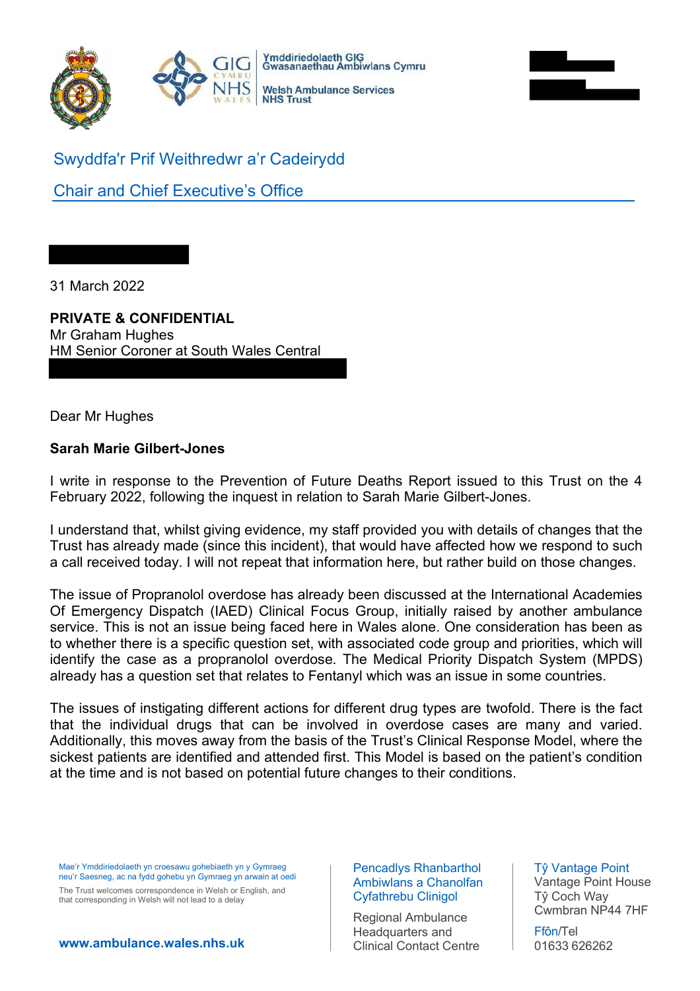



Swyddfa'r Prif Weithredwr a'r Cadeirydd

Chair and Chief Executive's Office

31 March 2022

## **PRIVATE & CONFIDENTIAL**

Mr Graham Hughes HM Senior Coroner at South Wales Central

Dear Mr Hughes

## **Sarah Marie Gilbert-Jones**

I write in response to the Prevention of Future Deaths Report issued to this Trust on the 4 February 2022, following the inquest in relation to Sarah Marie Gilbert-Jones.

I understand that, whilst giving evidence, my staff provided you with details of changes that the Trust has already made (since this incident), that would have affected how we respond to such a call received today. I will not repeat that information here, but rather build on those changes.

The issue of Propranolol overdose has already been discussed at the International Academies Of Emergency Dispatch (IAED) Clinical Focus Group, initially raised by another ambulance service. This is not an issue being faced here in Wales alone. One consideration has been as to whether there is a specific question set, with associated code group and priorities, which will identify the case as a propranolol overdose. The Medical Priority Dispatch System (MPDS) already has a question set that relates to Fentanyl which was an issue in some countries.

The issues of instigating different actions for different drug types are twofold. There is the fact that the individual drugs that can be involved in overdose cases are many and varied. Additionally, this moves away from the basis of the Trust's Clinical Response Model, where the sickest patients are identified and attended first. This Model is based on the patient's condition at the time and is not based on potential future changes to their conditions.

Mae'r Ymddiriedolaeth yn croesawu gohebiaeth yn y Gymraeg neu'r Saesneg, ac na fydd gohebu yn Gymraeg yn arwain at oedi

The Trust welcomes correspondence in Welsh or English, and that corresponding in Welsh will not lead to a delay

**www.ambulance.wales.nhs.uk**

## Pencadlys Rhanbarthol Ambiwlans a Chanolfan Cyfathrebu Clinigol

Regional Ambulance Headquarters and Clinical Contact Centre Tŷ Vantage Point Vantage Point House Tŷ Coch Way Cwmbran NP44 7HF

Ffôn/Tel 01633 626262